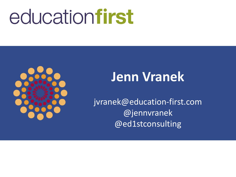# educationfirst



## **Jenn Vranek**

jvranek@education-first.com @jennvranek @ed1stconsulting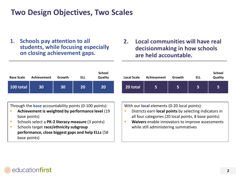## **Two Design Objectives, Two Scales**

**1. Schools pay attention to all students, while focusing especially on closing achievement gaps.**

#### **2. Local communities will have real decisionmaking in how schools are held accountable.**

| <b>Base Scale</b>                                                                                                                                                                                                                                                                                     | Achievement | Growth | <b>ELL</b> | <b>School</b><br>Quality | <b>Local Scale</b> | Achievement                                                                                                                                                                                                                                                | Growth | <b>ELL</b> | <b>School</b><br>Quality |
|-------------------------------------------------------------------------------------------------------------------------------------------------------------------------------------------------------------------------------------------------------------------------------------------------------|-------------|--------|------------|--------------------------|--------------------|------------------------------------------------------------------------------------------------------------------------------------------------------------------------------------------------------------------------------------------------------------|--------|------------|--------------------------|
| $100$ total                                                                                                                                                                                                                                                                                           | 30          | 30     | 20         | <b>20</b>                | 20 total           | 5                                                                                                                                                                                                                                                          | 5      | 5          | 5                        |
| Through the <b>base</b> accountability points (0-100 points):<br>Achievement is weighted by performance level (19<br>base points)<br>Schools select a PK-2 literacy measure (3 points)<br>Schools target race/ethnicity subgroup<br>performance, close biggest gaps and help ELLs (58<br>base points) |             |        |            |                          | г<br>г             | With our local elements (0-20 local points):<br>Districts earn local points by selecting indicators in<br>all four categories (20 local points, 8 base points)<br>Waivers enable innovators to improve assessments<br>while still administering summatives |        |            |                          |

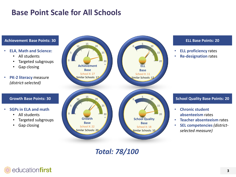## **Base Point Scale for All Schools**



*Total: 78/100* 

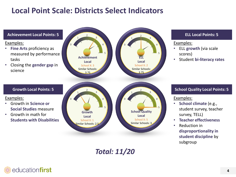## **Local Point Scale: Districts Select Indicators**



*Total: 11/20*

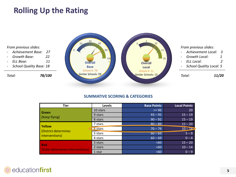## **Rolling Up the Rating**

*From previous slides:*

- *Achievement Base: 27*
- *Growth Base: 22*
- *ELL Base: 11*
- *School Quality Base: 18*

*Total: 78/100* 



*From previous slides:*

- *Achievement Local: 3*
- *Growth Local: 1*
- *ELL Local: 2*
- *School Quality Local: 5*

*Total: 11/20* 

#### **SUMMATIVE SCORING & CATEGORIES**

| <b>Tier</b>                      | Levels     | <b>Base Points</b> | <b>Local Points</b> |
|----------------------------------|------------|--------------------|---------------------|
| <b>Green</b>                     | 10 stars   | $>= 96$            | 20                  |
|                                  | 9 stars    | $93 - 95$          | $15 - 19$           |
| (Keep flying)                    | 8 stars    | $90 - 92$          | $15 - 19$           |
| <b>Yellow</b>                    | 7 stars    | $80 - 89$          | $15 - 20$           |
| (District determines             | $-6$ stars | $70 - 79$          | $10 - 14$           |
| interventions)                   | 5 stars    | $60 - 69$          | $5 - 9$             |
|                                  | 4 stars    | $60 - 69$          | $0 - 4$             |
| <b>Red</b>                       | 3 stars    | <60                | $15 - 20$           |
|                                  | 2 stars    | <60                | $10 - 14$           |
| (State determines interventions) | 1 star     | <60                | $0 - 9$             |